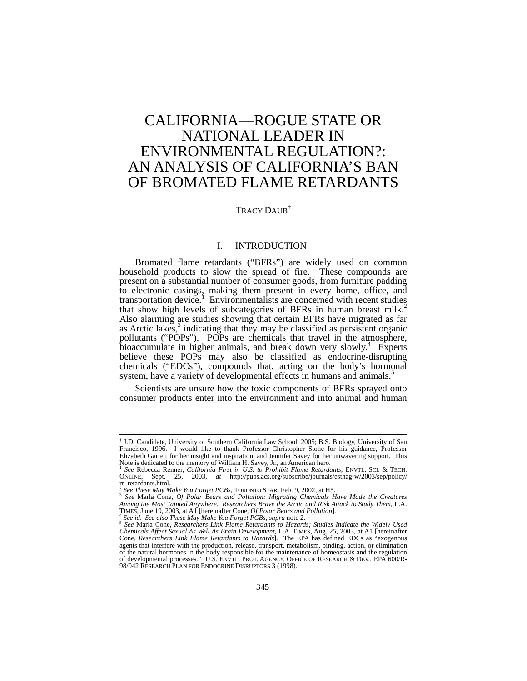# CALIFORNIA—ROGUE STATE OR NATIONAL LEADER IN ENVIRONMENTAL REGULATION?: AN ANALYSIS OF CALIFORNIA'S BAN OF BROMATED FLAME RETARDANTS

## TRACY DAUB†

## I. INTRODUCTION

Bromated flame retardants ("BFRs") are widely used on common household products to slow the spread of fire. These compounds are present on a substantial number of consumer goods, from furniture padding to electronic casings, making them present in every home, office, and transportation device.<sup>1</sup> Environmentalists are concerned with recent studies that show high levels of subcategories of BFRs in human breast milk.<sup>2</sup> Also alarming are studies showing that certain BFRs have migrated as far as Arctic lakes, $3$  indicating that they may be classified as persistent organic pollutants ("POPs"). POPs are chemicals that travel in the atmosphere, bioaccumulate in higher animals, and break down very slowly.<sup>4</sup> Experts believe these POPs may also be classified as endocrine-disrupting chemicals ("EDCs"), compounds that, acting on the body's hormonal system, have a variety of developmental effects in humans and animals.<sup>5</sup>

Scientists are unsure how the toxic components of BFRs sprayed onto consumer products enter into the environment and into animal and human

 <sup>†</sup> <sup>†</sup> J.D. Candidate, University of Southern California Law School, 2005; B.S. Biology, University of San Francisco, 1996. I would like to thank Professor Christopher Stone for his guidance, Professor Elizabeth Garrett for her insight and inspiration, and Jennifer Savey for her unwavering support. This

<sup>&</sup>lt;sup>1</sup> See Rebecca Renner, *California First in U.S. to Prohibit Flame Retardants*, ENVTL. SCI. & TECH.<br>ONLINE, Sept. 25, 2003, at http://pubs.acs.org/subscribe/journals/esthag-w/2003/sep/policy/ 2003, *at* http://pubs.acs.org/subscribe/journals/esthag-w/2003/sep/policy/ rr\_retardants.html.  $\frac{2}{3}$  See These May Make You Forget PCBs, TORONTO STAR, Feb. 9, 2002, at H5.

<sup>&</sup>lt;sup>3</sup> See Marla Cone, *Of Polar Bears and Pollution: Migrating Chemicals Have Made the Creatures Among the Most Tainted Anywhere. Researchers Brave the Arctic and Risk Attack to Study Them*, L.A.

<sup>&</sup>lt;sup>4</sup> See id. See also These May Make You Forget PCBs, supra note 2.<br><sup>5</sup> See Marla Cone, Researchers Link Flame Retardants to Hazards; Studies Indicate the Widely Used *Chemicals Affect Sexual As Well As Brain Development*, L.A. TIMES, Aug. 25, 2003, at A1 [hereinafter Cone, *Researchers Link Flame Retardants to Hazards*]. The EPA has defined EDCs as "exogenous agents that interfere with the production, release, transport, metabolism, binding, action, or elimination of the natural hormones in the body responsible for the maintenance of homeostasis and the regulation of developmental processes." U.S. ENVTL. PROT. AGENCY, OFFICE OF RESEARCH & DEV., EPA 600/R-98/042 RESEARCH PLAN FOR ENDOCRINE DISRUPTORS 3 (1998).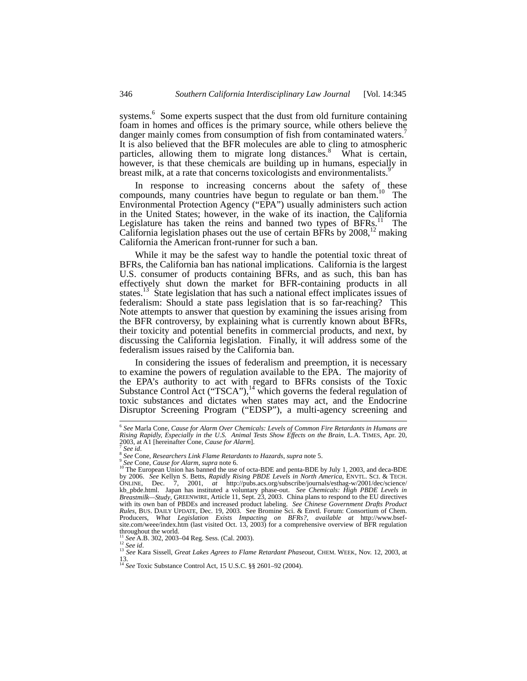systems.<sup>6</sup> Some experts suspect that the dust from old furniture containing foam in homes and offices is the primary source, while others believe the danger mainly comes from consumption of fish from contaminated waters.<sup>7</sup> It is also believed that the BFR molecules are able to cling to atmospheric particles, allowing them to migrate long distances.<sup>8</sup> What is certain, however, is that these chemicals are building up in humans, especially in breast milk, at a rate that concerns toxicologists and environmentalists.<sup>5</sup>

In response to increasing concerns about the safety of these compounds, many countries have begun to regulate or ban them.<sup>10</sup> The Environmental Protection Agency ("EPA") usually administers such action in the United States; however, in the wake of its inaction, the California Legislature has taken the reins and banned two types of  $BFRs$ <sup>11</sup>. The California legislation phases out the use of certain BFRs by  $2008$ ,<sup>12</sup> making California the American front-runner for such a ban.

While it may be the safest way to handle the potential toxic threat of BFRs, the California ban has national implications. California is the largest U.S. consumer of products containing BFRs, and as such, this ban has effectively shut down the market for BFR-containing products in all states.<sup>13</sup> State legislation that has such a national effect implicates issues of federalism: Should a state pass legislation that is so far-reaching? This Note attempts to answer that question by examining the issues arising from the BFR controversy, by explaining what is currently known about BFRs, their toxicity and potential benefits in commercial products, and next, by discussing the California legislation. Finally, it will address some of the federalism issues raised by the California ban.

In considering the issues of federalism and preemption, it is necessary to examine the powers of regulation available to the EPA. The majority of the EPA's authority to act with regard to BFRs consists of the Toxic Substance Control  $\text{Act}$  ("TSCA"),<sup>14</sup> which governs the federal regulation of toxic substances and dictates when states may act, and the Endocrine Disruptor Screening Program ("EDSP"), a multi-agency screening and

<sup>13</sup> See Kara Sissell, *Great Lakes Agrees to Flame Retardant Phaseout*, CHEM. WEEK, Nov. 12, 2003, at 13. <sup>14</sup> *See* Toxic Substance Control Act, 15 U.S.C. §§ 2601–92 (2004).

 <sup>6</sup> *See* Marla Cone, *Cause for Alarm Over Chemicals: Levels of Common Fire Retardants in Humans are Rising Rapidly, Especially in the U.S. Animal Tests Show Effects on the Brain, L.A. TIMES, Apr. 20, 2003, at A1 [hereinafter Cone, Cause for Alarm].* 

<sup>&</sup>lt;sup>7</sup> See id.<br><sup>8</sup> See Cone, *Researchers Link Flame Retardants to Hazards*, *supra* note 5.<br><sup>9</sup> See Cone, *Cause for Alarm*, *supra* note 6.<br><sup>10</sup> The European Union has banned the use of octa-BDE and penta-BDE by July 1, 20 by 2006. *See* Kellyn S. Betts, *Rapidly Rising PBDE Levels in North America*, ENVTL. SCI. & TECH. ONLINE, Dec. 7, 2001, *at* http://pubs.acs.org/subscribe/journals/esthag-w/2001/dec/science/ kb\_pbde.html. Japan has instituted a voluntary phase-out. *See Chemicals: High PBDE Levels in Breastmilk—Study*, GREENWIRE, Article 11, Sept. 23, 2003. China plans to respond to the EU directives with its own ban of PBDEs and increased product labeling. *See Chinese Government Drafts Product Rules*, BUS. DAILY UPDATE, Dec. 19, 2003. See Bromine Sci. & Envtl. Forum: Consortium of Chem. Producers, *What Legislation Exists Impacting on BFRs?*, *available at* http://www.bsefsite.com/weee/index.htm (last visited Oct. 13, 2003) for a comprehensive overview of BFR regulation throughout the world.<br>
<sup>11</sup> See A.B. 302, 2003–04 Reg. Sess. (Cal. 2003).<br>
<sup>12</sup> See id.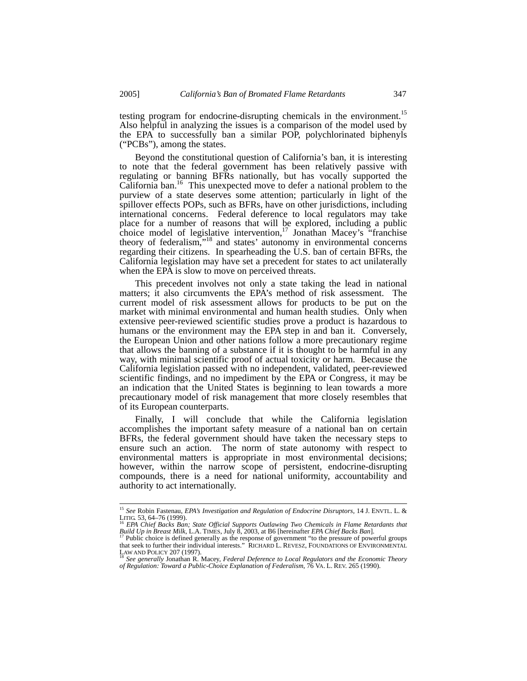testing program for endocrine-disrupting chemicals in the environment.<sup>15</sup> Also helpful in analyzing the issues is a comparison of the model used by the EPA to successfully ban a similar POP, polychlorinated biphenyls ("PCBs"), among the states.

Beyond the constitutional question of California's ban, it is interesting to note that the federal government has been relatively passive with regulating or banning BFRs nationally, but has vocally supported the California ban.16 This unexpected move to defer a national problem to the purview of a state deserves some attention; particularly in light of the spillover effects POPs, such as BFRs, have on other jurisdictions, including international concerns. Federal deference to local regulators may take place for a number of reasons that will be explored, including a public choice model of legislative intervention,<sup>17</sup> Jonathan Macey's "franchise" theory of federalism,"18 and states' autonomy in environmental concerns regarding their citizens. In spearheading the U.S. ban of certain BFRs, the California legislation may have set a precedent for states to act unilaterally when the EPA is slow to move on perceived threats.

This precedent involves not only a state taking the lead in national matters; it also circumvents the EPA's method of risk assessment. The current model of risk assessment allows for products to be put on the market with minimal environmental and human health studies. Only when extensive peer-reviewed scientific studies prove a product is hazardous to humans or the environment may the EPA step in and ban it. Conversely, the European Union and other nations follow a more precautionary regime that allows the banning of a substance if it is thought to be harmful in any way, with minimal scientific proof of actual toxicity or harm. Because the California legislation passed with no independent, validated, peer-reviewed scientific findings, and no impediment by the EPA or Congress, it may be an indication that the United States is beginning to lean towards a more precautionary model of risk management that more closely resembles that of its European counterparts.

Finally, I will conclude that while the California legislation accomplishes the important safety measure of a national ban on certain BFRs, the federal government should have taken the necessary steps to ensure such an action. The norm of state autonomy with respect to environmental matters is appropriate in most environmental decisions; however, within the narrow scope of persistent, endocrine-disrupting compounds, there is a need for national uniformity, accountability and authority to act internationally.

 <sup>15</sup> *See* Robin Fastenau, *EPA's Investigation and Regulation of Endocrine Disruptors*, 14 J. ENVTL. L. & LITIG. 53, 64–76 (1999).<br><sup>16</sup> *EPA Chief Backs Ban; State Official Supports Outlawing Two Chemicals in Flame Retardants that* <sup>16</sup> *EPA Chief Backs Ban; State Official Supports Outlawing Two Chemicals in Flame Retardants t* 

*Build Up in Breast Milk*, L.A. TIMES, July 8, 2003, at B6 [hereinafter *EPA Chief Backs Ban*]. <sup>17</sup> Public choice is defined generally as the response of government "to the pressure of powerful groups

that seek to further their individual interests." RICHARD L. REVESZ, FOUNDATIONS OF ENVIRONMENTAL<br>LAW AND POLICY 207 (1997).<br><sup>18</sup> See generally Inpution P. Macy, End. 1. P.C.

LAW AND POLICY 207 (1997). 18 *See generally* Jonathan R. Macey, *Federal Deference to Local Regulators and the Economic Theory of Regulation: Toward a Public-Choice Explanation of Federalism*, 76 VA. L. REV. 265 (1990).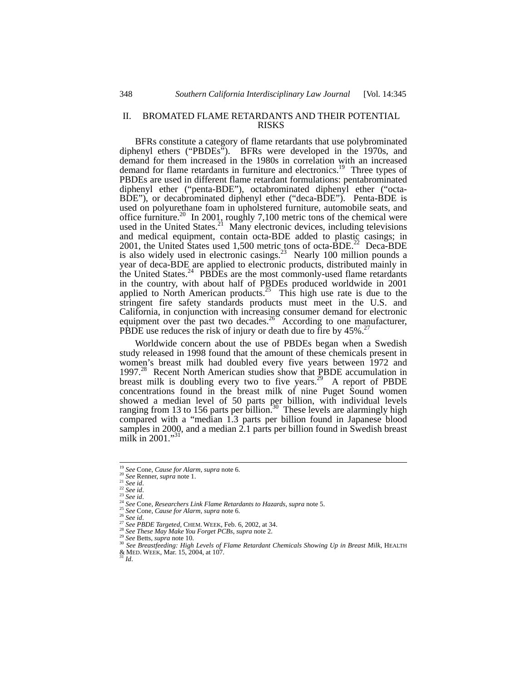#### II. BROMATED FLAME RETARDANTS AND THEIR POTENTIAL RISKS

BFRs constitute a category of flame retardants that use polybrominated diphenyl ethers ("PBDEs"). BFRs were developed in the 1970s, and demand for them increased in the 1980s in correlation with an increased demand for flame retardants in furniture and electronics.<sup>19</sup> Three types of PBDEs are used in different flame retardant formulations: pentabrominated diphenyl ether ("penta-BDE"), octabrominated diphenyl ether ("octa-BDE"), or decabrominated diphenyl ether ("deca-BDE"). Penta-BDE is used on polyurethane foam in upholstered furniture, automobile seats, and office furniture.<sup>20</sup> In 2001, roughly 7,100 metric tons of the chemical were used in the United States.<sup>21</sup> Many electronic devices, including televisions and medical equipment, contain octa-BDE added to plastic casings; in 2001, the United States used 1,500 metric tons of octa-BDE.<sup>22</sup> Deca-BDE is also widely used in electronic casings.<sup>23</sup> Nearly 100 million pounds a year of deca-BDE are applied to electronic products, distributed mainly in the United States. $^{24}$  PBDEs are the most commonly-used flame retardants in the country, with about half of PBDEs produced worldwide in 2001 applied to North American products.<sup>25</sup> This high use rate is due to the stringent fire safety standards products must meet in the U.S. and California, in conjunction with increasing consumer demand for electronic equipment over the past two decades.<sup>26</sup> According to one manufacturer, PBDE use reduces the risk of injury or death due to fire by  $45\%$ .<sup>27</sup>

Worldwide concern about the use of PBDEs began when a Swedish study released in 1998 found that the amount of these chemicals present in women's breast milk had doubled every five years between 1972 and 1997.<sup>28</sup> Recent North American studies show that PBDE accumulation in breast milk is doubling every two to five years.<sup>29</sup> A report of PBDE concentrations found in the breast milk of nine Puget Sound women showed a median level of 50 parts per billion, with individual levels ranging from 13 to 156 parts per billion.<sup>30</sup> These levels are alarmingly high compared with a "median 1.3 parts per billion found in Japanese blood samples in 2000, and a median 2.1 parts per billion found in Swedish breast milk in 2001."<sup>31</sup>

<sup>&</sup>lt;sup>19</sup> See Cone, *Cause for Alarm*, *supra* note 6.<br><sup>20</sup> See Renner, *supra* note 1.<br><sup>21</sup> See id.<br><sup>22</sup> See id.<br><sup>24</sup> See Cone, Researchers Link Flame Retardants to Hazards, supra note 5.<br><sup>25</sup> See Cone, Cause for Alarm, supra & MED. WEEK, Mar. 15, 2004, at 107. 31 *Id*.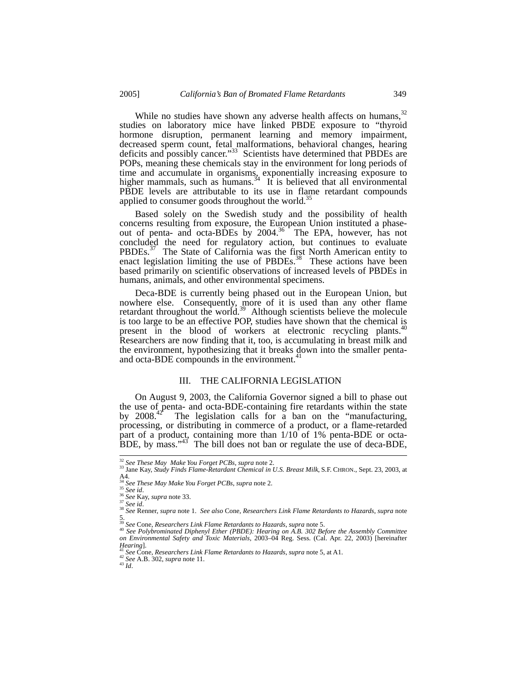While no studies have shown any adverse health affects on humans,<sup>32</sup> studies on laboratory mice have linked PBDE exposure to "thyroid hormone disruption, permanent learning and memory impairment, decreased sperm count, fetal malformations, behavioral changes, hearing deficits and possibly cancer."33 Scientists have determined that PBDEs are POPs, meaning these chemicals stay in the environment for long periods of time and accumulate in organisms, exponentially increasing exposure to higher mammals, such as humans.<sup>34</sup> It is believed that all environmental PBDE levels are attributable to its use in flame retardant compounds applied to consumer goods throughout the world.<sup>35</sup>

Based solely on the Swedish study and the possibility of health concerns resulting from exposure, the European Union instituted a phaseout of penta- and octa-BDEs by  $2004.^{36}$  The EPA, however, has not concluded the need for regulatory action, but continues to evaluate  $PBDEs<sup>37</sup>$  The State of California was the first North American entity to enact legislation limiting the use of PBDEs.<sup>38</sup> These actions have been based primarily on scientific observations of increased levels of PBDEs in humans, animals, and other environmental specimens.

Deca-BDE is currently being phased out in the European Union, but nowhere else. Consequently, more of it is used than any other flame retardant throughout the world.<sup>39</sup> Although scientists believe the molecule is too large to be an effective POP, studies have shown that the chemical is present in the blood of workers at electronic recycling plants.<sup>40</sup> Researchers are now finding that it, too, is accumulating in breast milk and the environment, hypothesizing that it breaks down into the smaller pentaand octa-BDE compounds in the environment.<sup>4</sup>

#### III. THE CALIFORNIA LEGISLATION

On August 9, 2003, the California Governor signed a bill to phase out the use of penta- and octa-BDE-containing fire retardants within the state by  $2008.<sup>42</sup>$  The legislation calls for a ban on the "manufacturing, The legislation calls for a ban on the "manufacturing, processing, or distributing in commerce of a product, or a flame-retarded part of a product, containing more than 1/10 of 1% penta-BDE or octa-BDE, by mass." $43$  The bill does not ban or regulate the use of deca-BDE,

<sup>&</sup>lt;sup>32</sup> See These May Make You Forget PCBs, supra note 2.<br><sup>33</sup> Jane Kay, *Study Finds Flame-Retardant Chemical in U.S. Breast Milk*, S.F. CHRON., Sept. 23, 2003, at A4.<br><sup>34</sup> See These May Make You Forget PCBs, supra note 2.<br><sup>35</sup> See id.<br><sup>36</sup> See Kay, supra note 33.<br><sup>37</sup> See id.<br><sup>38</sup> See Renner, supra note 1. See also Cone, Researchers Link Flame Retardants to Hazards, supra note

<sup>&</sup>lt;sup>38</sup> See Renner, *supra* note 1. *See also* Cone, *Researchers Link Flame Retardants to Hazards*, *supra* note 5.<br>
<sup>59</sup> See Cone, *Researchers Link Flame Retardants to Hazards*, *supra* note 5.<br>
<sup>59</sup> See Cone, *Researcher* 

<sup>&</sup>lt;sup>39</sup> See Cone, Researchers Link Flame Retardants to Hazards, supra note 5.<br><sup>40</sup> See Polybrominated Diphenyl Ether (PBDE): Hearing on A.B. 302 Before the Assembly Committee<br>on Environmental Safety and Toxic Materials, 2003– *Hearing*].<br><sup>41</sup> *See* Cone, *Researchers Link Flame Retardants to Hazards*, *supra* note 5, at A1.<br><sup>42</sup> *See* A.B. 302, *supra* note 11.<br><sup>43</sup> *Id*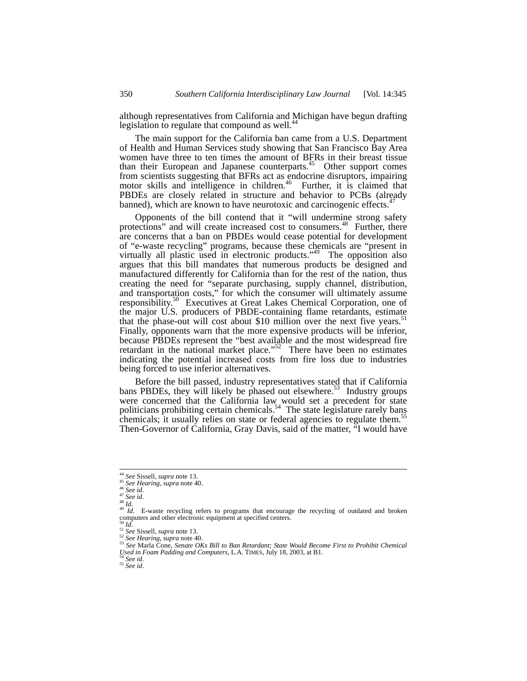although representatives from California and Michigan have begun drafting legislation to regulate that compound as well.<sup>44</sup>

The main support for the California ban came from a U.S. Department of Health and Human Services study showing that San Francisco Bay Area women have three to ten times the amount of BFRs in their breast tissue than their European and Japanese counterparts.<sup>45</sup> Other support comes from scientists suggesting that BFRs act as endocrine disruptors, impairing motor skills and intelligence in children.<sup>46</sup> Further, it is claimed that PBDEs are closely related in structure and behavior to PCBs (already banned), which are known to have neurotoxic and carcinogenic effects.<sup>4</sup>

Opponents of the bill contend that it "will undermine strong safety protections" and will create increased cost to consumers.<sup>48</sup> Further, there are concerns that a ban on PBDEs would cease potential for development of "e-waste recycling" programs, because these chemicals are "present in virtually all plastic used in electronic products."<sup>49</sup> The opposition also argues that this bill mandates that numerous products be designed and manufactured differently for California than for the rest of the nation, thus creating the need for "separate purchasing, supply channel, distribution, and transportation costs," for which the consumer will ultimately assume responsibility.<sup>50</sup> Executives at Great Lakes Chemical Corporation, one of the major U.S. producers of PBDE-containing flame retardants, estimate that the phase-out will cost about \$10 million over the next five years.<sup>51</sup> Finally, opponents warn that the more expensive products will be inferior, because PBDEs represent the "best available and the most widespread fire retardant in the national market place."<sup>52</sup> There have been no estimates indicating the potential increased costs from fire loss due to industries being forced to use inferior alternatives.

Before the bill passed, industry representatives stated that if California bans PBDEs, they will likely be phased out elsewhere.<sup>53</sup> Industry groups were concerned that the California law would set a precedent for state politicians prohibiting certain chemicals.<sup>54</sup> The state legislature rarely bans chemicals; it usually relies on state or federal agencies to regulate them.<sup>55</sup> Then-Governor of California, Gray Davis, said of the matter, "I would have

<sup>&</sup>lt;sup>44</sup> See Sissell, *supra* note 13.<br><sup>45</sup> See Hearing, *supra* note 40.<br><sup>47</sup> See id.<br><sup>47</sup> See id.<br><sup>47</sup> Id. E-waste recycling refers to programs that encourage the recycling of outdated and broken<br><sup>49</sup> Id. E-waste recycling r Solution *Id*.<br><sup>50</sup> *Id.*<br><sup>51</sup> *See* Sissell, *supra* note 13.<br><sup>52</sup> *See Hearing*, *supra* note 40.<br><sup>53</sup> *See Hearing*, *supra* note 40.<br><sup>53</sup> *See Marla Cone, Senate OKs Bill to Ban Retardant; State Would Become First to P* 

*Used in Foam Padding and Computers*, L.A. TIMES, July 18, 2003, at B1.  $^{54}$  *See id.*  $^{55}$  *See id.*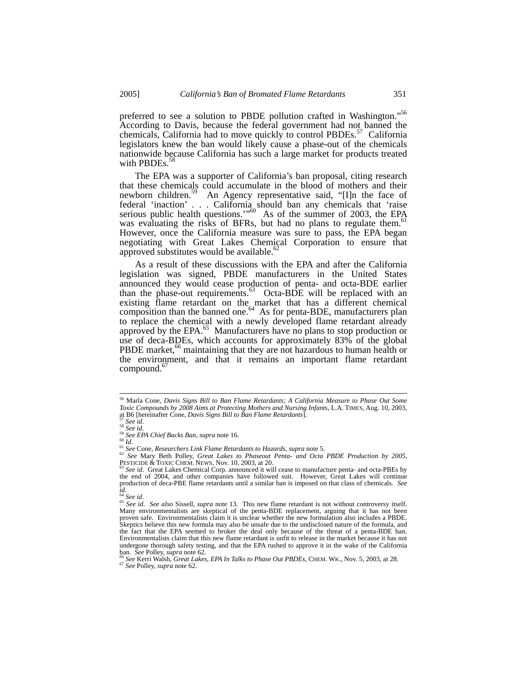preferred to see a solution to PBDE pollution crafted in Washington."<sup>56</sup> According to Davis, because the federal government had not banned the chemicals, California had to move quickly to control PBDEs.<sup>57</sup> California legislators knew the ban would likely cause a phase-out of the chemicals nationwide because California has such a large market for products treated with PBDEs.<sup>5</sup>

The EPA was a supporter of California's ban proposal, citing research that these chemicals could accumulate in the blood of mothers and their newborn children.<sup>59</sup> An Agency representative said, "[I]n the face of federal 'inaction' . . . California should ban any chemicals that 'raise serious public health questions."<sup>60</sup> As of the summer of 2003, the EPA was evaluating the risks of BFRs, but had no plans to regulate them.<sup>61</sup> However, once the California measure was sure to pass, the EPA began negotiating with Great Lakes Chemical Corporation to ensure that approved substitutes would be available. $62$ 

As a result of these discussions with the EPA and after the California legislation was signed, PBDE manufacturers in the United States announced they would cease production of penta- and octa-BDE earlier than the phase-out requirements. $63$  Octa-BDE will be replaced with an existing flame retardant on the market that has a different chemical composition than the banned one.<sup>64</sup> As for penta-BDE, manufacturers plan to replace the chemical with a newly developed flame retardant already approved by the EPA. $^{65}$  Manufacturers have no plans to stop production or use of deca-BDEs, which accounts for approximately 83% of the global PBDE market,<sup>66</sup> maintaining that they are not hazardous to human health or the environment, and that it remains an important flame retardant compound. $6$ 

 <sup>56</sup> Marla Cone, *Davis Signs Bill to Ban Flame Retardants; A California Measure to Phase Out Some Toxic Compounds by 2008 Aims at Protecting Mothers and Nursing Infants*, L.A. TIMES, Aug. 10, 2003, at B6 [hereinafter Cone, *Davis Signs Bill to Ban Flame Retardants*]. at B6 [hereinafter Cone, *Davis Signs Bill to Ban Flame Retardants*].<br><sup>55</sup> *See id.*<br><sup>59</sup> *See id.*<br><sup>59</sup> *See EPA Chief Backs Ban, supra* note 16.<br><sup>61</sup> *Id.*<br><sup>61</sup> *See* Cone, *Researchers Link Flame Retardants to Hazards,* 

PESTICIDE & TOXIC CHEM. NEWS, Nov. 10, 2003, at 20.<br><sup>63</sup> *See id*. Great Lakes Chemical Corp. announced it will cease to manufacture penta- and octa-PBEs by

the end of 2004, and other companies have followed suit. However, Great Lakes will continue production of deca-PBE flame retardants until a similar ban is imposed on that class of chemicals. *See id.* <sup>64</sup> *See id.* 

*id*. 64 *See id*. 65 *See id*. *See also* Sissell, *supra* note 13. This new flame retardant is not without controversy itself. Many environmentalists are skeptical of the penta-BDE replacement, arguing that it has not been proven safe. Environmentalists claim it is unclear whether the new formulation also includes a PBDE. Skeptics believe this new formula may also be unsafe due to the undisclosed nature of the formula, and the fact that the EPA seemed to broker the deal only because of the threat of a penta-BDE ban. Environmentalists claim that this new flame retardant is unfit to release in the market because it has not undergone thorough safety testing, and that the EPA rushed to approve it in the wake of the California ban. See Polley, supra note 62.

ban. *See* Polley, *supra* note 62. 66 *See* Kerri Walsh, *Great Lakes, EPA In Talks to Phase Out PBDEs*, CHEM. WK., Nov. 5, 2003, at 28. 67 *See* Polley, *supra* note 62.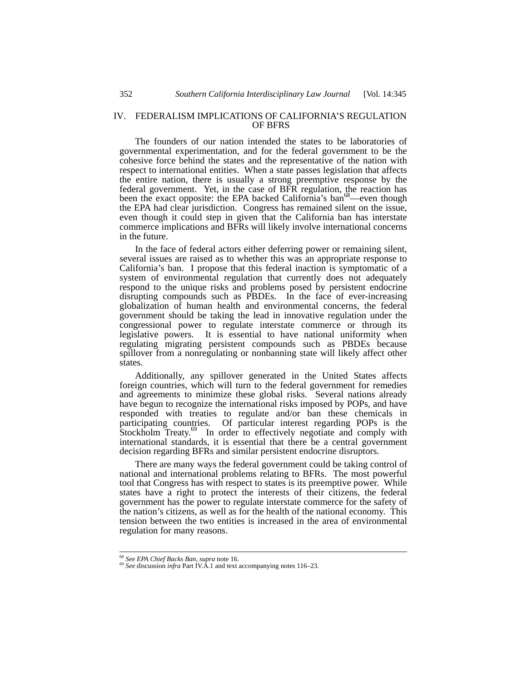## IV. FEDERALISM IMPLICATIONS OF CALIFORNIA'S REGULATION OF BFRS

The founders of our nation intended the states to be laboratories of governmental experimentation, and for the federal government to be the cohesive force behind the states and the representative of the nation with respect to international entities. When a state passes legislation that affects the entire nation, there is usually a strong preemptive response by the federal government. Yet, in the case of BFR regulation, the reaction has been the exact opposite: the EPA backed California's ban<sup>68</sup>—even though the EPA had clear jurisdiction. Congress has remained silent on the issue, even though it could step in given that the California ban has interstate commerce implications and BFRs will likely involve international concerns in the future.

In the face of federal actors either deferring power or remaining silent, several issues are raised as to whether this was an appropriate response to California's ban. I propose that this federal inaction is symptomatic of a system of environmental regulation that currently does not adequately respond to the unique risks and problems posed by persistent endocrine disrupting compounds such as PBDEs. In the face of ever-increasing globalization of human health and environmental concerns, the federal government should be taking the lead in innovative regulation under the congressional power to regulate interstate commerce or through its legislative powers. It is essential to have national uniformity when regulating migrating persistent compounds such as PBDEs because spillover from a nonregulating or nonbanning state will likely affect other states.

Additionally, any spillover generated in the United States affects foreign countries, which will turn to the federal government for remedies and agreements to minimize these global risks. Several nations already have begun to recognize the international risks imposed by POPs, and have responded with treaties to regulate and/or ban these chemicals in participating countries. Of particular interest regarding POPs is the Stockholm Treaty.<sup>69</sup> In order to effectively negotiate and comply with international standards, it is essential that there be a central government decision regarding BFRs and similar persistent endocrine disruptors.

There are many ways the federal government could be taking control of national and international problems relating to BFRs. The most powerful tool that Congress has with respect to states is its preemptive power. While states have a right to protect the interests of their citizens, the federal government has the power to regulate interstate commerce for the safety of the nation's citizens, as well as for the health of the national economy. This tension between the two entities is increased in the area of environmental regulation for many reasons.

<sup>68</sup> *See EPA Chief Backs Ban*, *supra* note 16. 69 *See* discussion *infra* Part IV.A.1 and text accompanying notes 116–23.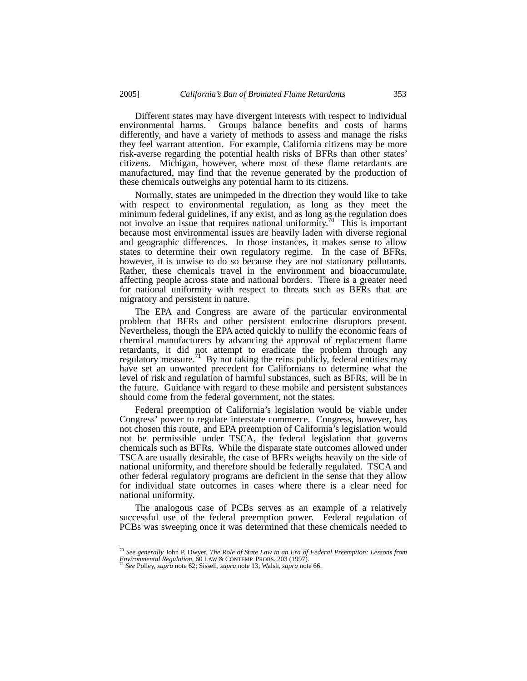Different states may have divergent interests with respect to individual environmental harms. Groups balance benefits and costs of harms differently, and have a variety of methods to assess and manage the risks they feel warrant attention. For example, California citizens may be more risk-averse regarding the potential health risks of BFRs than other states' citizens. Michigan, however, where most of these flame retardants are manufactured, may find that the revenue generated by the production of these chemicals outweighs any potential harm to its citizens.

Normally, states are unimpeded in the direction they would like to take with respect to environmental regulation, as long as they meet the minimum federal guidelines, if any exist, and as long as the regulation does not involve an issue that requires national uniformity.<sup>70</sup> This is important because most environmental issues are heavily laden with diverse regional and geographic differences. In those instances, it makes sense to allow states to determine their own regulatory regime. In the case of BFRs, however, it is unwise to do so because they are not stationary pollutants. Rather, these chemicals travel in the environment and bioaccumulate, affecting people across state and national borders. There is a greater need for national uniformity with respect to threats such as BFRs that are migratory and persistent in nature.

The EPA and Congress are aware of the particular environmental problem that BFRs and other persistent endocrine disruptors present. Nevertheless, though the EPA acted quickly to nullify the economic fears of chemical manufacturers by advancing the approval of replacement flame retardants, it did not attempt to eradicate the problem through any regulatory measure.<sup>71</sup> By not taking the reins publicly, federal entities may have set an unwanted precedent for Californians to determine what the level of risk and regulation of harmful substances, such as BFRs, will be in the future. Guidance with regard to these mobile and persistent substances should come from the federal government, not the states.

Federal preemption of California's legislation would be viable under Congress' power to regulate interstate commerce. Congress, however, has not chosen this route, and EPA preemption of California's legislation would not be permissible under TSCA, the federal legislation that governs chemicals such as BFRs. While the disparate state outcomes allowed under TSCA are usually desirable, the case of BFRs weighs heavily on the side of national uniformity, and therefore should be federally regulated. TSCA and other federal regulatory programs are deficient in the sense that they allow for individual state outcomes in cases where there is a clear need for national uniformity.

The analogous case of PCBs serves as an example of a relatively successful use of the federal preemption power. Federal regulation of PCBs was sweeping once it was determined that these chemicals needed to

 <sup>70</sup> *See generally* John P. Dwyer, *The Role of State Law in an Era of Federal Preemption: Lessons from* 

*Environmental Regulation*, 60 LAW & CONTEMP. PROBS. 203 (1997).<br><sup>71</sup> *See Polley, supra* note 62; Sissell, *supra* note 13; Walsh, *supra* note 66.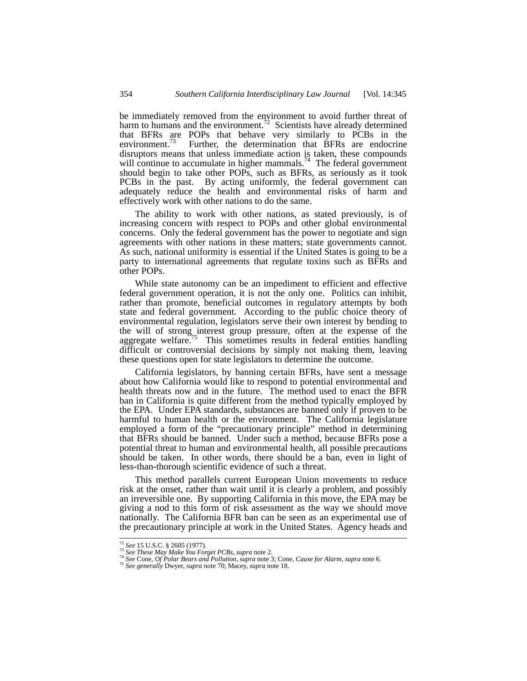be immediately removed from the environment to avoid further threat of harm to humans and the environment.<sup>72</sup> Scientists have already determined that BFRs are POPs that behave very similarly to PCBs in the environment.<sup>73</sup> Further, the determination that BFRs are endocrine disruptors means that unless immediate action is taken, these compounds will continue to accumulate in higher mammals.<sup>74</sup> The federal government should begin to take other POPs, such as BFRs, as seriously as it took PCBs in the past. By acting uniformly, the federal government can adequately reduce the health and environmental risks of harm and effectively work with other nations to do the same.

The ability to work with other nations, as stated previously, is of increasing concern with respect to POPs and other global environmental concerns. Only the federal government has the power to negotiate and sign agreements with other nations in these matters; state governments cannot. As such, national uniformity is essential if the United States is going to be a party to international agreements that regulate toxins such as BFRs and other POPs.

While state autonomy can be an impediment to efficient and effective federal government operation, it is not the only one. Politics can inhibit, rather than promote, beneficial outcomes in regulatory attempts by both state and federal government. According to the public choice theory of environmental regulation, legislators serve their own interest by bending to the will of strong interest group pressure, often at the expense of the aggregate welfare.<sup>75</sup> This sometimes results in federal entities handling difficult or controversial decisions by simply not making them, leaving these questions open for state legislators to determine the outcome.

California legislators, by banning certain BFRs, have sent a message about how California would like to respond to potential environmental and health threats now and in the future. The method used to enact the BFR ban in California is quite different from the method typically employed by the EPA. Under EPA standards, substances are banned only if proven to be harmful to human health or the environment. The California legislature employed a form of the "precautionary principle" method in determining that BFRs should be banned. Under such a method, because BFRs pose a potential threat to human and environmental health, all possible precautions should be taken. In other words, there should be a ban, even in light of less-than-thorough scientific evidence of such a threat.

This method parallels current European Union movements to reduce risk at the onset, rather than wait until it is clearly a problem, and possibly an irreversible one. By supporting California in this move, the EPA may be giving a nod to this form of risk assessment as the way we should move nationally. The California BFR ban can be seen as an experimental use of the precautionary principle at work in the United States. Agency heads and

<sup>&</sup>lt;sup>72</sup> See 15 U.S.C. § 2605 (1977).<br><sup>73</sup> See These May Make You Forget PCBs, supra note 2.<br><sup>74</sup> See Cone, *Of Polar Bears and Pollution*, supra note 3; Cone, *Cause for Alarm*, supra note 6.<br><sup>75</sup> See generally Dwyer, supra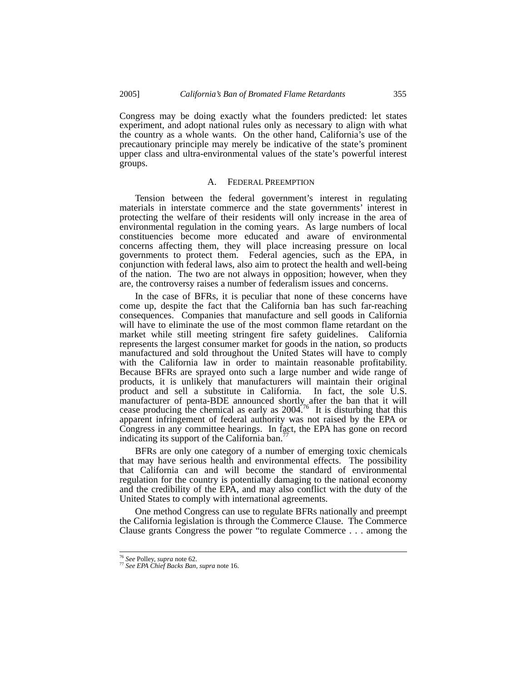Congress may be doing exactly what the founders predicted: let states experiment, and adopt national rules only as necessary to align with what the country as a whole wants. On the other hand, California's use of the precautionary principle may merely be indicative of the state's prominent upper class and ultra-environmental values of the state's powerful interest groups.

#### A. FEDERAL PREEMPTION

Tension between the federal government's interest in regulating materials in interstate commerce and the state governments' interest in protecting the welfare of their residents will only increase in the area of environmental regulation in the coming years. As large numbers of local constituencies become more educated and aware of environmental concerns affecting them, they will place increasing pressure on local governments to protect them. Federal agencies, such as the EPA, in conjunction with federal laws, also aim to protect the health and well-being of the nation. The two are not always in opposition; however, when they are, the controversy raises a number of federalism issues and concerns.

In the case of BFRs, it is peculiar that none of these concerns have come up, despite the fact that the California ban has such far-reaching consequences. Companies that manufacture and sell goods in California will have to eliminate the use of the most common flame retardant on the market while still meeting stringent fire safety guidelines. California represents the largest consumer market for goods in the nation, so products manufactured and sold throughout the United States will have to comply with the California law in order to maintain reasonable profitability. Because BFRs are sprayed onto such a large number and wide range of products, it is unlikely that manufacturers will maintain their original product and sell a substitute in California. In fact, the sole U.S. manufacturer of penta-BDE announced shortly after the ban that it will cease producing the chemical as early as  $2004$ .<sup>76</sup> It is disturbing that this apparent infringement of federal authority was not raised by the EPA or Congress in any committee hearings. In fact, the EPA has gone on record indicating its support of the California ban.<sup>7</sup>

BFRs are only one category of a number of emerging toxic chemicals that may have serious health and environmental effects. The possibility that California can and will become the standard of environmental regulation for the country is potentially damaging to the national economy and the credibility of the EPA, and may also conflict with the duty of the United States to comply with international agreements.

One method Congress can use to regulate BFRs nationally and preempt the California legislation is through the Commerce Clause. The Commerce Clause grants Congress the power "to regulate Commerce . . . among the

<sup>76</sup> *See* Polley, *supra* note 62. 77 *See EPA Chief Backs Ban*, *supra* note 16.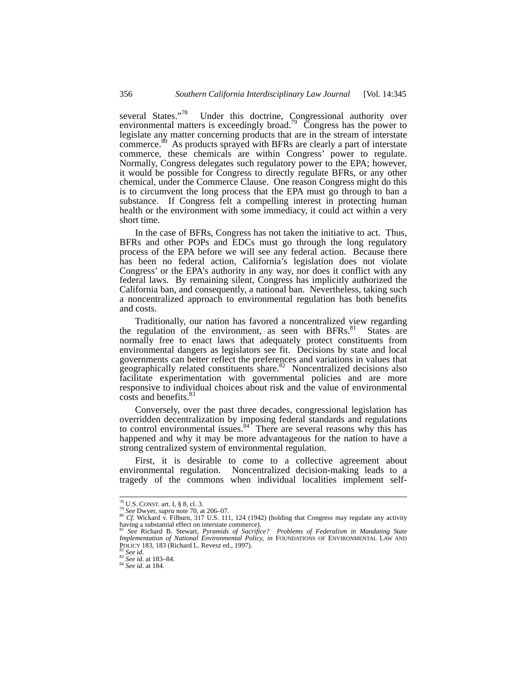several States."<sup>78</sup> Under this doctrine, Congressional authority over environmental matters is exceedingly broad.<sup>79</sup> Congress has the power to legislate any matter concerning products that are in the stream of interstate  $c$  commerce.<sup>80</sup> As products sprayed with BFRs are clearly a part of interstate commerce, these chemicals are within Congress' power to regulate. Normally, Congress delegates such regulatory power to the EPA; however, it would be possible for Congress to directly regulate BFRs, or any other chemical, under the Commerce Clause. One reason Congress might do this is to circumvent the long process that the EPA must go through to ban a substance. If Congress felt a compelling interest in protecting human health or the environment with some immediacy, it could act within a very short time.

In the case of BFRs, Congress has not taken the initiative to act. Thus, BFRs and other POPs and EDCs must go through the long regulatory process of the EPA before we will see any federal action. Because there has been no federal action, California's legislation does not violate Congress' or the EPA's authority in any way, nor does it conflict with any federal laws. By remaining silent, Congress has implicitly authorized the California ban, and consequently, a national ban. Nevertheless, taking such a noncentralized approach to environmental regulation has both benefits and costs.

Traditionally, our nation has favored a noncentralized view regarding the regulation of the environment, as seen with BFRs. $81$  States are normally free to enact laws that adequately protect constituents from environmental dangers as legislators see fit. Decisions by state and local governments can better reflect the preferences and variations in values that geographically related constituents share.<sup>82</sup> Noncentralized decisions also facilitate experimentation with governmental policies and are more responsive to individual choices about risk and the value of environmental costs and benefits.<sup>8</sup>

Conversely, over the past three decades, congressional legislation has overridden decentralization by imposing federal standards and regulations to control environmental issues. $84^{\circ}$  There are several reasons why this has happened and why it may be more advantageous for the nation to have a strong centralized system of environmental regulation.

First, it is desirable to come to a collective agreement about environmental regulation. Noncentralized decision-making leads to a tragedy of the commons when individual localities implement self-

<sup>&</sup>lt;sup>78</sup> U.S. CONST. art. I, § 8, cl. 3.<br><sup>79</sup> *See* Dwyer, *supra* note 70, at 206–07.<br><sup>80</sup> *Cf.* Wickard v. Filburn, 317 U.S. 111, 124 (1942) (holding that Congress may regulate any activity having a substantial effect on interstate commerce).

<sup>&</sup>lt;sup>81</sup> See Richard B. Stewart, *Pyramids of Sacrifice? Problems of Federalism in Mandating State Implementation of National Environmental Policy*, *in FOUNDATIONS OF ENVIRONMENTAL LAW AND* POLICY 183, 183 (Richard L. Revesz ed., 1997). 82 *See id*. 83 *See id*. at 183–84. 84 *See id*. at 184.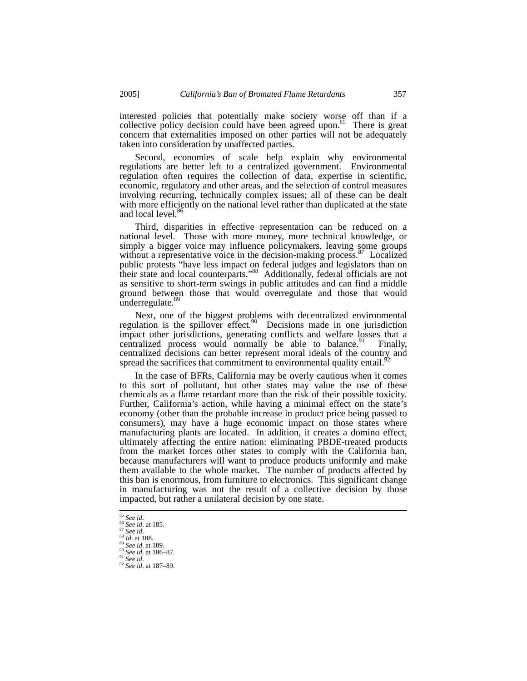interested policies that potentially make society worse off than if a collective policy decision could have been agreed upon.<sup>85</sup> There is great concern that externalities imposed on other parties will not be adequately taken into consideration by unaffected parties.

Second, economies of scale help explain why environmental regulations are better left to a centralized government. Environmental regulation often requires the collection of data, expertise in scientific, economic, regulatory and other areas, and the selection of control measures involving recurring, technically complex issues; all of these can be dealt with more efficiently on the national level rather than duplicated at the state and local level.<sup>8</sup>

Third, disparities in effective representation can be reduced on a national level. Those with more money, more technical knowledge, or simply a bigger voice may influence policymakers, leaving some groups without a representative voice in the decision-making process.<sup>87</sup> Localized public protests "have less impact on federal judges and legislators than on their state and local counterparts."<sup>88</sup> Additionally, federal officials are not as sensitive to short-term swings in public attitudes and can find a middle ground between those that would overregulate and those that would underregulate.<sup>89</sup>

Next, one of the biggest problems with decentralized environmental regulation is the spillover effect.<sup>90</sup> Decisions made in one jurisdiction impact other jurisdictions, generating conflicts and welfare losses that a centralized process would normally be able to balance.<sup>91</sup> Finally, centralized decisions can better represent moral ideals of the country and spread the sacrifices that commitment to environmental quality entail. $92$ 

In the case of BFRs, California may be overly cautious when it comes to this sort of pollutant, but other states may value the use of these chemicals as a flame retardant more than the risk of their possible toxicity. Further, California's action, while having a minimal effect on the state's economy (other than the probable increase in product price being passed to consumers), may have a huge economic impact on those states where manufacturing plants are located. In addition, it creates a domino effect, ultimately affecting the entire nation: eliminating PBDE-treated products from the market forces other states to comply with the California ban, because manufacturers will want to produce products uniformly and make them available to the whole market. The number of products affected by this ban is enormous, from furniture to electronics. This significant change in manufacturing was not the result of a collective decision by those impacted, but rather a unilateral decision by one state.

 <sup>85</sup> *See id*. 86 *See id*. at 185. 87 *See id*. 88 *Id*. at 188. 89 *See id*. at 189. 90 *See id*. at 186–87. 91 *See id*. 92 *See id*. at 187–89.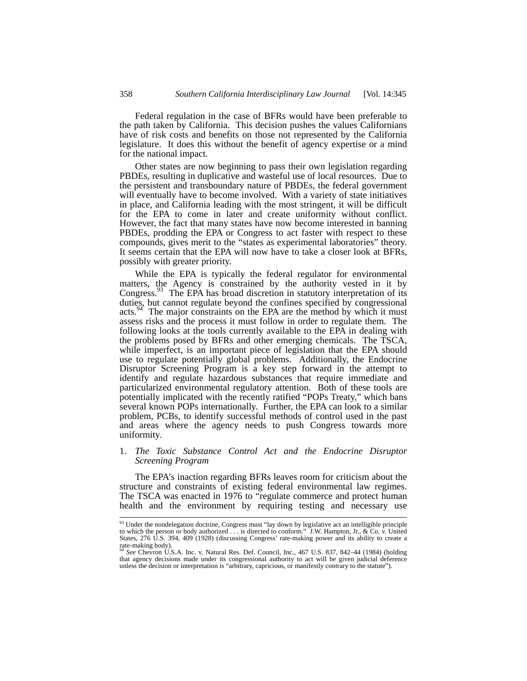Federal regulation in the case of BFRs would have been preferable to the path taken by California. This decision pushes the values Californians have of risk costs and benefits on those not represented by the California legislature. It does this without the benefit of agency expertise or a mind for the national impact.

Other states are now beginning to pass their own legislation regarding PBDEs, resulting in duplicative and wasteful use of local resources. Due to the persistent and transboundary nature of PBDEs, the federal government will eventually have to become involved. With a variety of state initiatives in place, and California leading with the most stringent, it will be difficult for the EPA to come in later and create uniformity without conflict. However, the fact that many states have now become interested in banning PBDEs, prodding the EPA or Congress to act faster with respect to these compounds, gives merit to the "states as experimental laboratories" theory. It seems certain that the EPA will now have to take a closer look at BFRs, possibly with greater priority.

While the EPA is typically the federal regulator for environmental matters, the Agency is constrained by the authority vested in it by Congress.<sup>93</sup> The EPA has broad discretion in statutory interpretation of its duties, but cannot regulate beyond the confines specified by congressional acts. $94$  The major constraints on the EPA are the method by which it must assess risks and the process it must follow in order to regulate them. The following looks at the tools currently available to the EPA in dealing with the problems posed by BFRs and other emerging chemicals. The TSCA, while imperfect, is an important piece of legislation that the EPA should use to regulate potentially global problems. Additionally, the Endocrine Disruptor Screening Program is a key step forward in the attempt to identify and regulate hazardous substances that require immediate and particularized environmental regulatory attention. Both of these tools are potentially implicated with the recently ratified "POPs Treaty," which bans several known POPs internationally. Further, the EPA can look to a similar problem, PCBs, to identify successful methods of control used in the past and areas where the agency needs to push Congress towards more uniformity.

### 1. *The Toxic Substance Control Act and the Endocrine Disruptor Screening Program*

The EPA's inaction regarding BFRs leaves room for criticism about the structure and constraints of existing federal environmental law regimes. The TSCA was enacted in 1976 to "regulate commerce and protect human health and the environment by requiring testing and necessary use

<sup>&</sup>lt;sup>93</sup> Under the nondelegation doctrine, Congress must "lay down by legislative act an intelligible principle to which the person or body authorized . . . is directed to conform." J.W. Hampton, Jr., & Co. v. United States, 2

rate-making body). <sup>94</sup> *See* Chevron U.S.A. Inc. v. Natural Res. Def. Council, Inc., 467 U.S. 837, 842–44 (1984) (holding that agency decisions made under its congressional authority to act will be given judicial deference unless the decision or interpretation is "arbitrary, capricious, or manifestly contrary to the statute").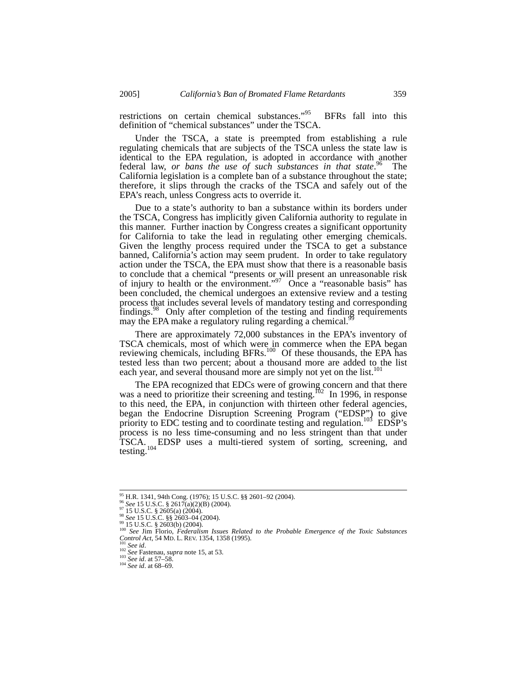restrictions on certain chemical substances."<sup>95</sup> BFRs fall into this definition of "chemical substances" under the TSCA.

Under the TSCA, a state is preempted from establishing a rule regulating chemicals that are subjects of the TSCA unless the state law is identical to the EPA regulation, is adopted in accordance with another federal law, *or bans the use of such substances in that state*.<sup>96</sup> The California legislation is a complete ban of a substance throughout the state; therefore, it slips through the cracks of the TSCA and safely out of the EPA's reach, unless Congress acts to override it.

Due to a state's authority to ban a substance within its borders under the TSCA, Congress has implicitly given California authority to regulate in this manner. Further inaction by Congress creates a significant opportunity for California to take the lead in regulating other emerging chemicals. Given the lengthy process required under the TSCA to get a substance banned, California's action may seem prudent. In order to take regulatory action under the TSCA, the EPA must show that there is a reasonable basis to conclude that a chemical "presents or will present an unreasonable risk of injury to health or the environment."<sup>97</sup> Once a "reasonable basis" has been concluded, the chemical undergoes an extensive review and a testing process that includes several levels of mandatory testing and corresponding findings.<sup>98</sup> Only after completion of the testing and finding requirements may the EPA make a regulatory ruling regarding a chemical.<sup>99</sup>

There are approximately 72,000 substances in the EPA's inventory of TSCA chemicals, most of which were in commerce when the EPA began reviewing chemicals, including BFRs.<sup>100</sup> Of these thousands, the EPA has tested less than two percent; about a thousand more are added to the list each year, and several thousand more are simply not yet on the list.<sup>101</sup>

The EPA recognized that EDCs were of growing concern and that there was a need to prioritize their screening and testing.<sup>102</sup> In 1996, in response to this need, the EPA, in conjunction with thirteen other federal agencies, began the Endocrine Disruption Screening Program ("EDSP") to give priority to EDC testing and to coordinate testing and regulation.<sup>103</sup> EDSP's process is no less time-consuming and no less stringent than that under TSCA. EDSP uses a multi-tiered system of sorting, screening, and testing.104

<sup>&</sup>lt;sup>95</sup> H.R. 1341, 94th Cong. (1976); 15 U.S.C. §§ 2601–92 (2004).<br><sup>96</sup> See 15 U.S.C. § 2617(a)(2)(B) (2004).<br><sup>96</sup> See 15 U.S.C. § 2605(a) (2004).<br><sup>98</sup> See 15 U.S.C. §§ 2603-04 (2004).<br><sup>98</sup> See 15 U.S.C. §§ 2603-04 (2004).<br><sup></sup>

*Control Act*, 54 MD. L. REV. 1354, 1358 (1995). 101 *See id*. 102 *See* Fastenau, *supra* note 15, at 53. 103 *See id*. at 57–58. 104 *See id*. at 68–69.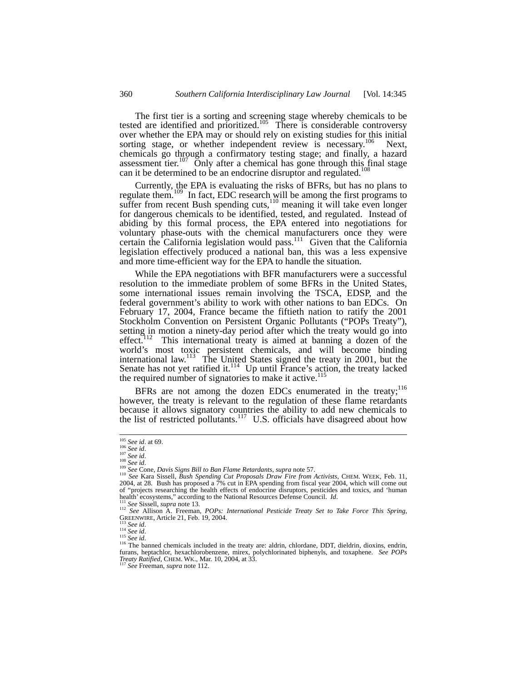The first tier is a sorting and screening stage whereby chemicals to be tested are identified and prioritized.<sup>105</sup> There is considerable controversy over whether the EPA may or should rely on existing studies for this initial sorting stage, or whether independent review is necessary.<sup>106</sup> Next, chemicals go through a confirmatory testing stage; and finally, a hazard assessment tier.<sup>107</sup> Only after a chemical has gone through this final stage can it be determined to be an endocrine disruptor and regulated.<sup>108</sup>

Currently, the EPA is evaluating the risks of BFRs, but has no plans to regulate them.<sup>109</sup> In fact, EDC research will be among the first programs to suffer from recent Bush spending cuts,<sup>110</sup> meaning it will take even longer for dangerous chemicals to be identified, tested, and regulated. Instead of abiding by this formal process, the EPA entered into negotiations for voluntary phase-outs with the chemical manufacturers once they were certain the California legislation would pass.<sup>111</sup> Given that the California legislation effectively produced a national ban, this was a less expensive and more time-efficient way for the EPA to handle the situation.

While the EPA negotiations with BFR manufacturers were a successful resolution to the immediate problem of some BFRs in the United States, some international issues remain involving the TSCA, EDSP, and the federal government's ability to work with other nations to ban EDCs. On February 17, 2004, France became the fiftieth nation to ratify the 2001 Stockholm Convention on Persistent Organic Pollutants ("POPs Treaty"), setting in motion a ninety-day period after which the treaty would go into effect.<sup>112</sup> This international treaty is aimed at banning a dozen of the world's most toxic persistent chemicals, and will become binding international law.<sup>113</sup> The United States signed the treaty in 2001, but the Senate has not yet ratified it. $114$  Up until France's action, the treaty lacked the required number of signatories to make it active.<sup>115</sup>

BFRs are not among the dozen EDCs enumerated in the treaty; $^{116}$ however, the treaty is relevant to the regulation of these flame retardants because it allows signatory countries the ability to add new chemicals to the list of restricted pollutants.<sup>117</sup> U.S. officials have disagreed about how

<sup>&</sup>lt;sup>105</sup> See id. at 69.<br><sup>106</sup> See id.<br><sup>106</sup> See id.<br><sup>108</sup> See id.<br><sup>109</sup> See Cone, Davis Signs Bill to Ban Flame Retardants, supra note 57.<br><sup>110</sup> See Kara Sissell, *Bush Spending Cut Proposals Draw Fire from Activists*, CHEM. 2004, at 28. Bush has proposed a 7% cut in EPA spending from fiscal year 2004, which will come out of "projects researching the health effects of endocrine disruptors, pesticides and toxics, and 'human health' ecosystems," according to the National Resources Defense Council. *Id.* 

<sup>&</sup>lt;sup>111</sup> See Sissell, supra note 13.<br><sup>112</sup> See Allison A. Freeman, *POPs: International Pesticide Treaty Set to Take Force This Spring*,<br>GREENWIRE, Article 21, Feb. 19, 2004.

GREEN, Article 21, Feb. 19, 2004.<br><sup>114</sup> *See id.* <sup>114</sup> *See id.* <sup>115</sup> *See id.* <sup>115</sup> *See id.* <sup>115</sup> *See id.* <sup>116</sup> The banned chemicals included in the treaty are: aldrin, chlordane, DDT, dieldrin, dioxins, endrin, <sup>1</sup> furans, heptachlor, hexachlorobenzene, mirex, polychlorinated biphenyls, and toxaphene. *See POPs Treaty Ratified*, CHEM. WK., Mar. 10, 2004, at 33. 117 *See* Freeman, *supra* note 112.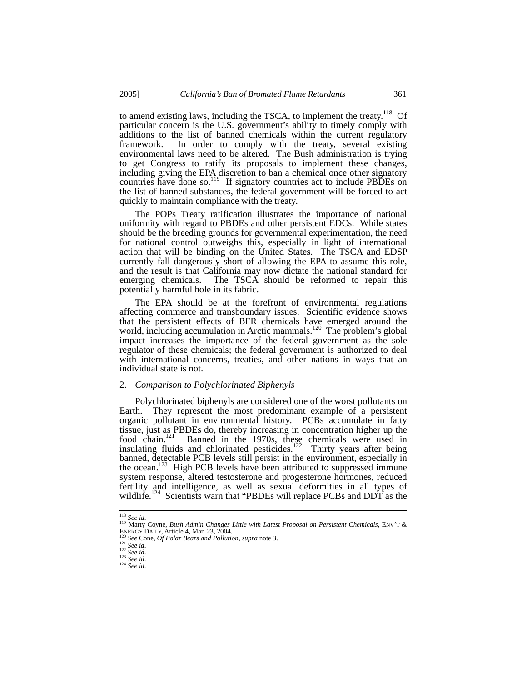to amend existing laws, including the TSCA, to implement the treaty.<sup>118</sup> Of particular concern is the U.S. government's ability to timely comply with additions to the list of banned chemicals within the current regulatory framework. In order to comply with the treaty, several existing environmental laws need to be altered. The Bush administration is trying to get Congress to ratify its proposals to implement these changes, including giving the EPA discretion to ban a chemical once other signatory countries have done so.<sup>119</sup> If signatory countries act to include PBDEs on the list of banned substances, the federal government will be forced to act quickly to maintain compliance with the treaty.

The POPs Treaty ratification illustrates the importance of national uniformity with regard to PBDEs and other persistent EDCs. While states should be the breeding grounds for governmental experimentation, the need for national control outweighs this, especially in light of international action that will be binding on the United States. The TSCA and EDSP currently fall dangerously short of allowing the EPA to assume this role, and the result is that California may now dictate the national standard for emerging chemicals. The TSCA should be reformed to repair this potentially harmful hole in its fabric.

The EPA should be at the forefront of environmental regulations affecting commerce and transboundary issues. Scientific evidence shows that the persistent effects of BFR chemicals have emerged around the world, including accumulation in Arctic mammals.<sup>120</sup> The problem's global impact increases the importance of the federal government as the sole regulator of these chemicals; the federal government is authorized to deal with international concerns, treaties, and other nations in ways that an individual state is not.

#### 2. *Comparison to Polychlorinated Biphenyls*

Polychlorinated biphenyls are considered one of the worst pollutants on Earth. They represent the most predominant example of a persistent organic pollutant in environmental history. PCBs accumulate in fatty tissue, just as PBDEs do, thereby increasing in concentration higher up the food chain.<sup>121</sup> Banned in the 1970s, these chemicals were used in insulating fluids and chlorinated pesticides.<sup>122</sup> Thirty years after being banned, detectable PCB levels still persist in the environment, especially in the ocean.<sup>123</sup> High PCB levels have been attributed to suppressed immune system response, altered testosterone and progesterone hormones, reduced fertility and intelligence, as well as sexual deformities in all types of wildlife.<sup>124</sup> Scientists warn that "PBDEs will replace PCBs and DDT as the

<sup>118</sup> *See id*. 119 Marty Coyne, *Bush Admin Changes Little with Latest Proposal on Persistent Chemicals*, ENV'T & ENERGY DAILY, Article 4, Mar. 23, 2004.<br>
<sup>120</sup> *See* Cone, *Of Polar Bears and Pollution*, *supra* note 3.<br>
<sup>121</sup> *See id.*<br>
<sup>122</sup> *See id.*<br>
<sup>122</sup> *See id.*<br>
<sup>123</sup> *See id.*<br>
<sup>124</sup> *See id.*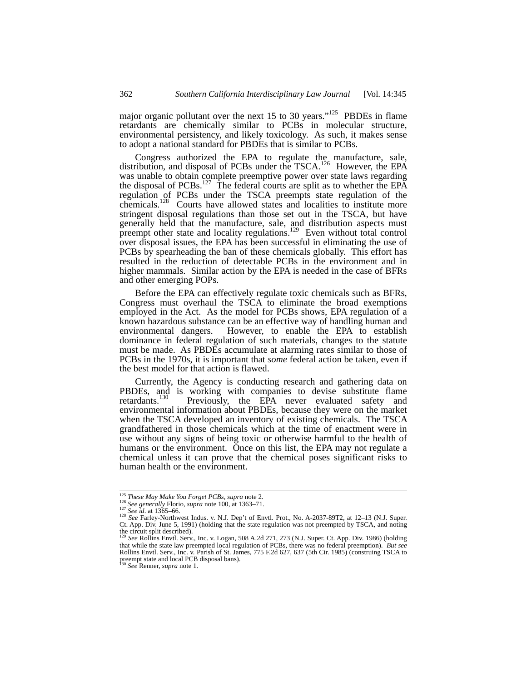major organic pollutant over the next 15 to 30 years."<sup>125</sup> PBDEs in flame retardants are chemically similar to PCBs in molecular structure, environmental persistency, and likely toxicology. As such, it makes sense to adopt a national standard for PBDEs that is similar to PCBs.

Congress authorized the EPA to regulate the manufacture, sale, distribution, and disposal of PCBs under the TSCA.<sup>126</sup> However, the EPA was unable to obtain complete preemptive power over state laws regarding the disposal of PCBs.<sup>127</sup> The federal courts are split as to whether the EPA regulation of PCBs under the TSCA preempts state regulation of the chemicals.<sup>128</sup> Courts have allowed states and localities to institute more stringent disposal regulations than those set out in the TSCA, but have generally held that the manufacture, sale, and distribution aspects must preempt other state and locality regulations.<sup>129</sup> Even without total control over disposal issues, the EPA has been successful in eliminating the use of PCBs by spearheading the ban of these chemicals globally. This effort has resulted in the reduction of detectable PCBs in the environment and in higher mammals. Similar action by the EPA is needed in the case of BFRs and other emerging POPs.

Before the EPA can effectively regulate toxic chemicals such as BFRs, Congress must overhaul the TSCA to eliminate the broad exemptions employed in the Act. As the model for PCBs shows, EPA regulation of a known hazardous substance can be an effective way of handling human and environmental dangers. However, to enable the EPA to establish dominance in federal regulation of such materials, changes to the statute must be made. As PBDEs accumulate at alarming rates similar to those of PCBs in the 1970s, it is important that *some* federal action be taken, even if the best model for that action is flawed.

Currently, the Agency is conducting research and gathering data on PBDEs, and is working with companies to devise substitute flame<br>retardants.<sup>130</sup> Previously, the EPA never evaluated safety and Previously, the EPA never evaluated safety and environmental information about PBDEs, because they were on the market when the TSCA developed an inventory of existing chemicals. The TSCA grandfathered in those chemicals which at the time of enactment were in use without any signs of being toxic or otherwise harmful to the health of humans or the environment. Once on this list, the EPA may not regulate a chemical unless it can prove that the chemical poses significant risks to human health or the environment.

<sup>&</sup>lt;sup>125</sup> These May Make You Forget PCBs, supra note 2.<br><sup>126</sup> See generally Florio, supra note 100, at 1363–71.<br><sup>127</sup> See id. at 1365–66.<br><sup>128</sup> See Farley-Northwest Indus. v. N.J. Dep't of Envtl. Prot., No. A-2037-89T2, at 12 Ct. App. Div. June 5, 1991) (holding that the state regulation was not preempted by TSCA, and noting the circuit split described). <sup>129</sup> *See* Rollins Envtl. Serv., Inc. v. Logan, 508 A.2d 271, 273 (N.J. Super. Ct. App. Div. 1986) (holding

that while the state law preempted local regulation of PCBs, there was no federal preemption). *But see*  Rollins Envtl. Serv., Inc. v. Parish of St. James, 775 F.2d 627, 637 (5th Cir. 1985) (construing TSCA to preempt state and local PCB disposal bans). <sup>130</sup> *See* Renner, *supra* note 1.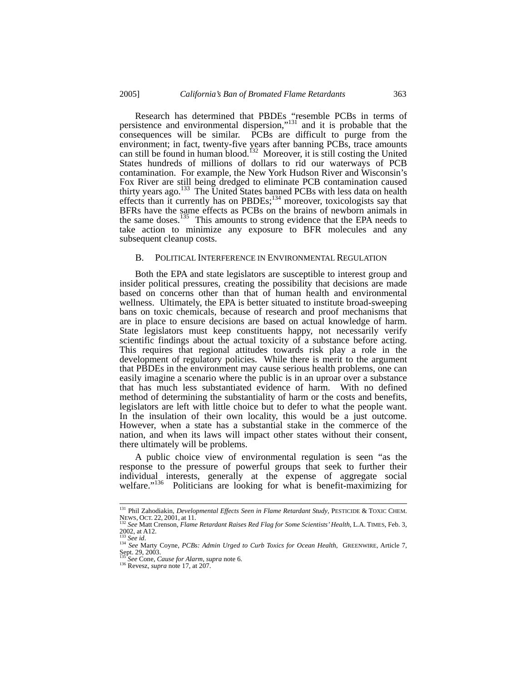Research has determined that PBDEs "resemble PCBs in terms of persistence and environmental dispersion,"131 and it is probable that the consequences will be similar. PCBs are difficult to purge from the environment; in fact, twenty-five years after banning PCBs, trace amounts can still be found in human blood.<sup> $132$ </sup> Moreover, it is still costing the United States hundreds of millions of dollars to rid our waterways of PCB contamination. For example, the New York Hudson River and Wisconsin's Fox River are still being dredged to eliminate PCB contamination caused thirty years ago.<sup>133</sup> The United States banned PCBs with less data on health effects than it currently has on PBDEs; $^{134}$  moreover, toxicologists say that BFRs have the same effects as PCBs on the brains of newborn animals in the same doses.<sup>135</sup> This amounts to strong evidence that the EPA needs to take action to minimize any exposure to BFR molecules and any subsequent cleanup costs.

#### B. POLITICAL INTERFERENCE IN ENVIRONMENTAL REGULATION

Both the EPA and state legislators are susceptible to interest group and insider political pressures, creating the possibility that decisions are made based on concerns other than that of human health and environmental wellness. Ultimately, the EPA is better situated to institute broad-sweeping bans on toxic chemicals, because of research and proof mechanisms that are in place to ensure decisions are based on actual knowledge of harm. State legislators must keep constituents happy, not necessarily verify scientific findings about the actual toxicity of a substance before acting. This requires that regional attitudes towards risk play a role in the development of regulatory policies. While there is merit to the argument that PBDEs in the environment may cause serious health problems, one can easily imagine a scenario where the public is in an uproar over a substance that has much less substantiated evidence of harm. With no defined method of determining the substantiality of harm or the costs and benefits, legislators are left with little choice but to defer to what the people want. In the insulation of their own locality, this would be a just outcome. However, when a state has a substantial stake in the commerce of the nation, and when its laws will impact other states without their consent, there ultimately will be problems.

A public choice view of environmental regulation is seen "as the response to the pressure of powerful groups that seek to further their individual interests, generally at the expense of aggregate social welfare."<sup>136</sup> Politicians are looking for what is benefit-maximizing for

 <sup>131</sup> Phil Zahodiakin, *Developmental Effects Seen in Flame Retardant Study*, PESTICIDE & TOXIC CHEM. NEWS, OCT. 22, 2001, at 11. 132 *See* Matt Crenson, *Flame Retardant Raises Red Flag for Some Scientists' Health*, L.A. TIMES, Feb. 3,

<sup>2002,</sup> at A12.

<sup>&</sup>lt;sup>133</sup> *See id.*<br><sup>134</sup> *See Marty Coyne, PCBs: Admin Urged to Curb Toxics for Ocean Health, GREENWIRE, Article 7, Sept. 29, 2003.* <sup>135</sup> *See* Cone, *Cause for Alarm*, *supra* note 6. 136 Revesz, *supra* note 17, at 207.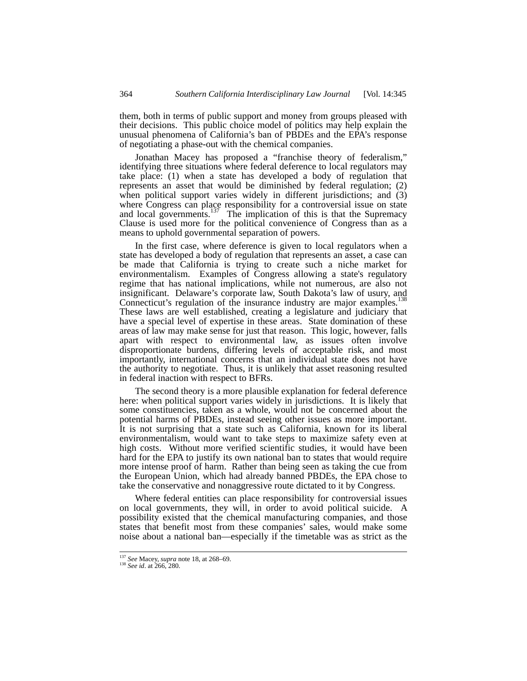them, both in terms of public support and money from groups pleased with their decisions. This public choice model of politics may help explain the unusual phenomena of California's ban of PBDEs and the EPA's response of negotiating a phase-out with the chemical companies.

Jonathan Macey has proposed a "franchise theory of federalism," identifying three situations where federal deference to local regulators may take place: (1) when a state has developed a body of regulation that represents an asset that would be diminished by federal regulation; (2) when political support varies widely in different jurisdictions; and (3) where Congress can place responsibility for a controversial issue on state and local governments.<sup>137</sup> The implication of this is that the Supremacy Clause is used more for the political convenience of Congress than as a means to uphold governmental separation of powers.

In the first case, where deference is given to local regulators when a state has developed a body of regulation that represents an asset, a case can be made that California is trying to create such a niche market for environmentalism. Examples of Congress allowing a state's regulatory regime that has national implications, while not numerous, are also not insignificant. Delaware's corporate law, South Dakota's law of usury, and Connecticut's regulation of the insurance industry are major examples.<sup>138</sup> These laws are well established, creating a legislature and judiciary that have a special level of expertise in these areas. State domination of these areas of law may make sense for just that reason. This logic, however, falls apart with respect to environmental law, as issues often involve disproportionate burdens, differing levels of acceptable risk, and most importantly, international concerns that an individual state does not have the authority to negotiate. Thus, it is unlikely that asset reasoning resulted in federal inaction with respect to BFRs.

The second theory is a more plausible explanation for federal deference here: when political support varies widely in jurisdictions. It is likely that some constituencies, taken as a whole, would not be concerned about the potential harms of PBDEs, instead seeing other issues as more important. It is not surprising that a state such as California, known for its liberal environmentalism, would want to take steps to maximize safety even at high costs. Without more verified scientific studies, it would have been hard for the EPA to justify its own national ban to states that would require more intense proof of harm. Rather than being seen as taking the cue from the European Union, which had already banned PBDEs, the EPA chose to take the conservative and nonaggressive route dictated to it by Congress.

Where federal entities can place responsibility for controversial issues on local governments, they will, in order to avoid political suicide. A possibility existed that the chemical manufacturing companies, and those states that benefit most from these companies' sales, would make some noise about a national ban—especially if the timetable was as strict as the

<sup>137</sup> *See* Macey, *supra* note 18, at 268–69. 138 *See id*. at 266, 280.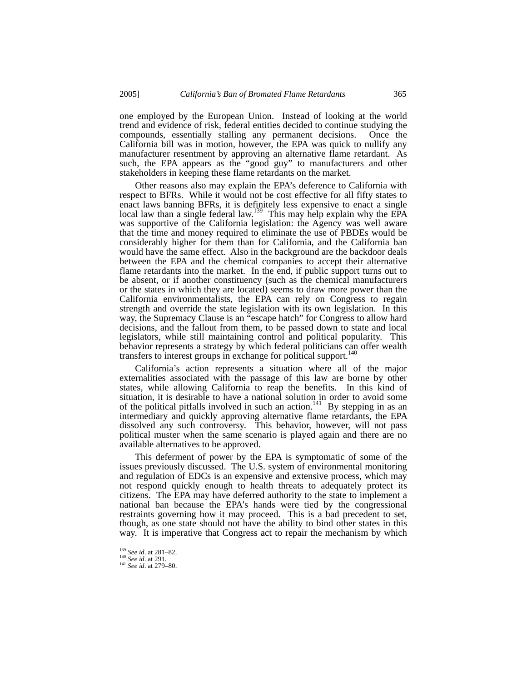one employed by the European Union. Instead of looking at the world trend and evidence of risk, federal entities decided to continue studying the compounds, essentially stalling any permanent decisions. Once the California bill was in motion, however, the EPA was quick to nullify any manufacturer resentment by approving an alternative flame retardant. As such, the EPA appears as the "good guy" to manufacturers and other stakeholders in keeping these flame retardants on the market.

Other reasons also may explain the EPA's deference to California with respect to BFRs. While it would not be cost effective for all fifty states to enact laws banning BFRs, it is definitely less expensive to enact a single local law than a single federal law.<sup>139</sup> This may help explain why the EPA was supportive of the California legislation: the Agency was well aware that the time and money required to eliminate the use of PBDEs would be considerably higher for them than for California, and the California ban would have the same effect. Also in the background are the backdoor deals between the EPA and the chemical companies to accept their alternative flame retardants into the market. In the end, if public support turns out to be absent, or if another constituency (such as the chemical manufacturers or the states in which they are located) seems to draw more power than the California environmentalists, the EPA can rely on Congress to regain strength and override the state legislation with its own legislation. In this way, the Supremacy Clause is an "escape hatch" for Congress to allow hard decisions, and the fallout from them, to be passed down to state and local legislators, while still maintaining control and political popularity. This behavior represents a strategy by which federal politicians can offer wealth transfers to interest groups in exchange for political support.<sup>140</sup>

California's action represents a situation where all of the major externalities associated with the passage of this law are borne by other states, while allowing California to reap the benefits. In this kind of situation, it is desirable to have a national solution in order to avoid some of the political pitfalls involved in such an action.<sup>141</sup> By stepping in as an intermediary and quickly approving alternative flame retardants, the EPA dissolved any such controversy. This behavior, however, will not pass political muster when the same scenario is played again and there are no available alternatives to be approved.

This deferment of power by the EPA is symptomatic of some of the issues previously discussed. The U.S. system of environmental monitoring and regulation of EDCs is an expensive and extensive process, which may not respond quickly enough to health threats to adequately protect its citizens. The EPA may have deferred authority to the state to implement a national ban because the EPA's hands were tied by the congressional restraints governing how it may proceed. This is a bad precedent to set, though, as one state should not have the ability to bind other states in this way. It is imperative that Congress act to repair the mechanism by which

<sup>139</sup> *See id*. at 281–82. 140 *See id*. at 291. 141 *See id*. at 279–80.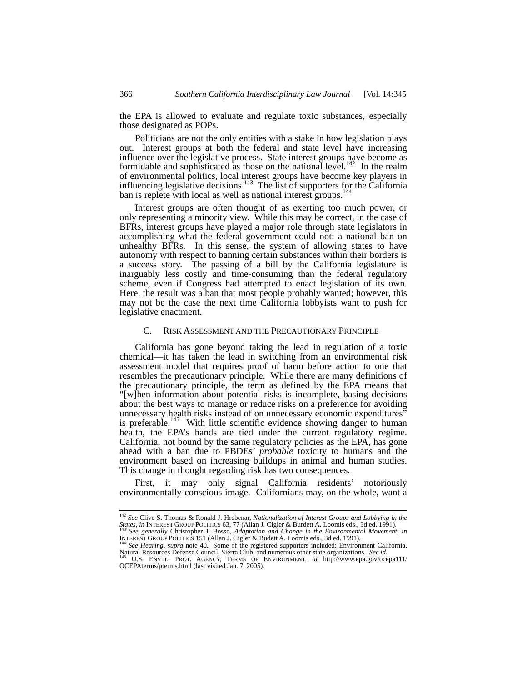the EPA is allowed to evaluate and regulate toxic substances, especially those designated as POPs.

Politicians are not the only entities with a stake in how legislation plays out. Interest groups at both the federal and state level have increasing influence over the legislative process. State interest groups have become as formidable and sophisticated as those on the national level.<sup>142</sup> In the realm of environmental politics, local interest groups have become key players in influencing legislative decisions.<sup>143</sup> The list of supporters for the California ban is replete with local as well as national interest groups.<sup>144</sup>

Interest groups are often thought of as exerting too much power, or only representing a minority view. While this may be correct, in the case of BFRs, interest groups have played a major role through state legislators in accomplishing what the federal government could not: a national ban on unhealthy BFRs. In this sense, the system of allowing states to have autonomy with respect to banning certain substances within their borders is a success story. The passing of a bill by the California legislature is inarguably less costly and time-consuming than the federal regulatory scheme, even if Congress had attempted to enact legislation of its own. Here, the result was a ban that most people probably wanted; however, this may not be the case the next time California lobbyists want to push for legislative enactment.

#### C. RISK ASSESSMENT AND THE PRECAUTIONARY PRINCIPLE

California has gone beyond taking the lead in regulation of a toxic chemical—it has taken the lead in switching from an environmental risk assessment model that requires proof of harm before action to one that resembles the precautionary principle. While there are many definitions of the precautionary principle, the term as defined by the EPA means that "[w]hen information about potential risks is incomplete, basing decisions about the best ways to manage or reduce risks on a preference for avoiding unnecessary health risks instead of on unnecessary economic expenditures" is preferable.<sup>145</sup> With little scientific evidence showing danger to human health, the EPA's hands are tied under the current regulatory regime. California, not bound by the same regulatory policies as the EPA, has gone ahead with a ban due to PBDEs' *probable* toxicity to humans and the environment based on increasing buildups in animal and human studies. This change in thought regarding risk has two consequences.

First, it may only signal California residents' notoriously environmentally-conscious image. Californians may, on the whole, want a

 <sup>142</sup> *See* Clive S. Thomas & Ronald J. Hrebenar, *Nationalization of Interest Groups and Lobbying in the*  States, in INTEREST GROUP POLITICS 63, 77 (Allan J. Cigler & Burdett A. Loomis eds., 3d ed. 1991).<br><sup>143</sup> See generally Christopher J. Bosso, Adaptation and Change in the Environmental Movement, in

INTEREST GROUP POLITICS 151 (Allan J. Cigler & Budett A. Loomis eds., 3d ed. 1991). 144 *See Hearing*, *supra* note 40. Some of the registered supporters included: Environment California,

Natural Resources Defense Council, Sierra Club, and numerous other state organizations. *See id*. 145 U.S. ENVTL. PROT. AGENCY, TERMS OF ENVIRONMENT, *at* http://www.epa.gov/ocepa111/ OCEPAterms/pterms.html (last visited Jan. 7, 2005).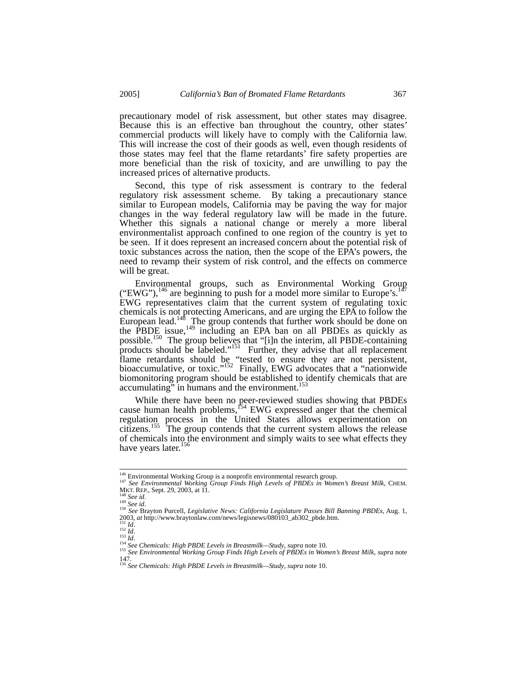precautionary model of risk assessment, but other states may disagree. Because this is an effective ban throughout the country, other states' commercial products will likely have to comply with the California law. This will increase the cost of their goods as well, even though residents of those states may feel that the flame retardants' fire safety properties are more beneficial than the risk of toxicity, and are unwilling to pay the increased prices of alternative products.

Second, this type of risk assessment is contrary to the federal regulatory risk assessment scheme. By taking a precautionary stance similar to European models, California may be paving the way for major changes in the way federal regulatory law will be made in the future. Whether this signals a national change or merely a more liberal environmentalist approach confined to one region of the country is yet to be seen. If it does represent an increased concern about the potential risk of toxic substances across the nation, then the scope of the EPA's powers, the need to revamp their system of risk control, and the effects on commerce will be great.

Environmental groups, such as Environmental Working Group ("EWG"),<sup>146</sup> are beginning to push for a model more similar to Europe's.<sup>147</sup> EWG representatives claim that the current system of regulating toxic chemicals is not protecting Americans, and are urging the EPA to follow the European lead.<sup>148</sup> The group contends that further work should be done on the PBDE issue,  $^{149}$  including an EPA ban on all PBDEs as quickly as possible.150 The group believes that "[i]n the interim, all PBDE-containing products should be labeled."<sup>151</sup> Further, they advise that all replacement flame retardants should be "tested to ensure they are not persistent, bioaccumulative, or toxic."<sup>152</sup> Finally, EWG advocates that a "nationwide" biomonitoring program should be established to identify chemicals that are accumulating" in humans and the environment.<sup>15</sup>

While there have been no peer-reviewed studies showing that PBDEs cause human health problems,  $154$  EWG expressed anger that the chemical regulation process in the United States allows experimentation on citizens.<sup>155</sup> The group contends that the current system allows the release of chemicals into the environment and simply waits to see what effects they have years later.<sup>156</sup>

<sup>&</sup>lt;sup>146</sup> Environmental Working Group is a nonprofit environmental research group.<br><sup>147</sup> See Environmental Working Group Finds High Levels of PBDEs in Women's Breast Milk, CHEM.<br>MKT. REP., Sept. 29, 2003, at 11.<br><sup>148</sup> See id.

<sup>2003,</sup> at http://www.braytonlaw.com/news/legisnews/080103\_ab302\_pbde.htm.<br>
<sup>151</sup> Id.<br>
<sup>152</sup> Id.<br>
<sup>152</sup> Id.<br>
<sup>152</sup> Id.<br>
<sup>152</sup> Id.<br>
<sup>152</sup> Id.<br>
<sup>152</sup> Id.<br>
<sup>153</sup> See Chemicals: High PBDE Levels in Breastmilk—Study, supra note 1

<sup>147.</sup>  <sup>156</sup> *See Chemicals: High PBDE Levels in Breastmilk—Study*, *supra* note 10.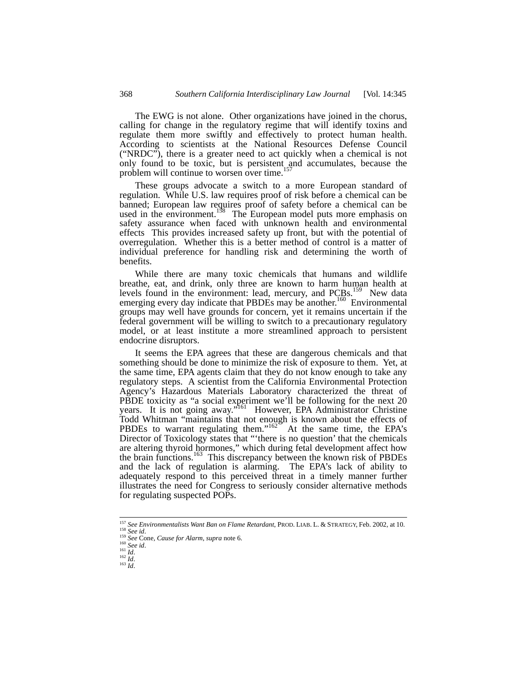The EWG is not alone. Other organizations have joined in the chorus, calling for change in the regulatory regime that will identify toxins and regulate them more swiftly and effectively to protect human health. According to scientists at the National Resources Defense Council ("NRDC"), there is a greater need to act quickly when a chemical is not only found to be toxic, but is persistent and accumulates, because the problem will continue to worsen over time.<sup>157</sup>

These groups advocate a switch to a more European standard of regulation. While U.S. law requires proof of risk before a chemical can be banned; European law requires proof of safety before a chemical can be used in the environment.<sup>158</sup> The European model puts more emphasis on safety assurance when faced with unknown health and environmental effects This provides increased safety up front, but with the potential of overregulation. Whether this is a better method of control is a matter of individual preference for handling risk and determining the worth of benefits.

While there are many toxic chemicals that humans and wildlife breathe, eat, and drink, only three are known to harm human health at levels found in the environment: lead, mercury, and PCBs.<sup>159</sup> New data emerging every day indicate that PBDEs may be another.<sup>160</sup> Environmental groups may well have grounds for concern, yet it remains uncertain if the federal government will be willing to switch to a precautionary regulatory model, or at least institute a more streamlined approach to persistent endocrine disruptors.

It seems the EPA agrees that these are dangerous chemicals and that something should be done to minimize the risk of exposure to them. Yet, at the same time, EPA agents claim that they do not know enough to take any regulatory steps. A scientist from the California Environmental Protection Agency's Hazardous Materials Laboratory characterized the threat of PBDE toxicity as "a social experiment we'll be following for the next 20 years. It is not going away."<sup>161</sup> However, EPA Administrator Christine Todd Whitman "maintains that not enough is known about the effects of PBDEs to warrant regulating them." $162^\circ$  At the same time, the EPA's Director of Toxicology states that "'there is no question' that the chemicals are altering thyroid hormones," which during fetal development affect how the brain functions.<sup>163</sup> This discrepancy between the known risk of PBDEs and the lack of regulation is alarming. The EPA's lack of ability to adequately respond to this perceived threat in a timely manner further illustrates the need for Congress to seriously consider alternative methods for regulating suspected POPs.

<sup>&</sup>lt;sup>157</sup> See Environmentalists Want Ban on Flame Retardant, PROD. LIAB. L. & STRATEGY, Feb. 2002, at 10.<br><sup>159</sup> See id.<br><sup>159</sup> See Cone, *Cause for Alarm*, *supra* note 6.<br><sup>160</sup> Liable is *d*.<br><sup>161</sup> Liable id.<br><sup>162</sup> Id.<br><sup>162</sup>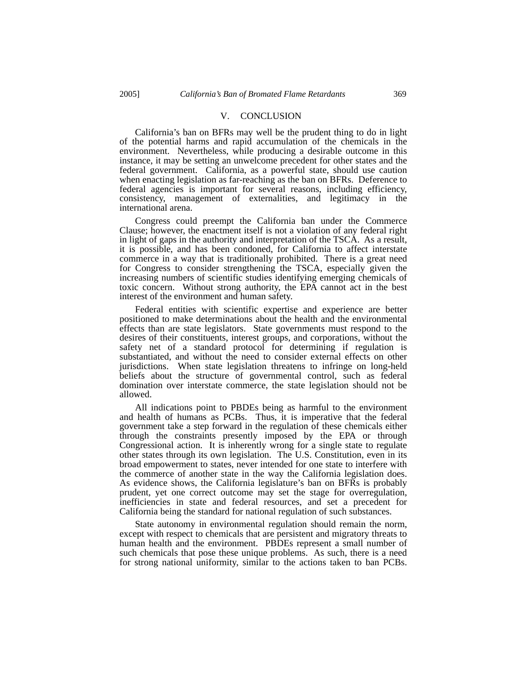#### V. CONCLUSION

California's ban on BFRs may well be the prudent thing to do in light of the potential harms and rapid accumulation of the chemicals in the environment. Nevertheless, while producing a desirable outcome in this instance, it may be setting an unwelcome precedent for other states and the federal government. California, as a powerful state, should use caution when enacting legislation as far-reaching as the ban on BFRs. Deference to federal agencies is important for several reasons, including efficiency, consistency, management of externalities, and legitimacy in the international arena.

Congress could preempt the California ban under the Commerce Clause; however, the enactment itself is not a violation of any federal right in light of gaps in the authority and interpretation of the TSCA. As a result, it is possible, and has been condoned, for California to affect interstate commerce in a way that is traditionally prohibited. There is a great need for Congress to consider strengthening the TSCA, especially given the increasing numbers of scientific studies identifying emerging chemicals of toxic concern. Without strong authority, the EPA cannot act in the best interest of the environment and human safety.

Federal entities with scientific expertise and experience are better positioned to make determinations about the health and the environmental effects than are state legislators. State governments must respond to the desires of their constituents, interest groups, and corporations, without the safety net of a standard protocol for determining if regulation is substantiated, and without the need to consider external effects on other jurisdictions. When state legislation threatens to infringe on long-held beliefs about the structure of governmental control, such as federal domination over interstate commerce, the state legislation should not be allowed.

All indications point to PBDEs being as harmful to the environment and health of humans as PCBs. Thus, it is imperative that the federal government take a step forward in the regulation of these chemicals either through the constraints presently imposed by the EPA or through Congressional action. It is inherently wrong for a single state to regulate other states through its own legislation. The U.S. Constitution, even in its broad empowerment to states, never intended for one state to interfere with the commerce of another state in the way the California legislation does. As evidence shows, the California legislature's ban on BFRs is probably prudent, yet one correct outcome may set the stage for overregulation, inefficiencies in state and federal resources, and set a precedent for California being the standard for national regulation of such substances.

State autonomy in environmental regulation should remain the norm, except with respect to chemicals that are persistent and migratory threats to human health and the environment. PBDEs represent a small number of such chemicals that pose these unique problems. As such, there is a need for strong national uniformity, similar to the actions taken to ban PCBs.